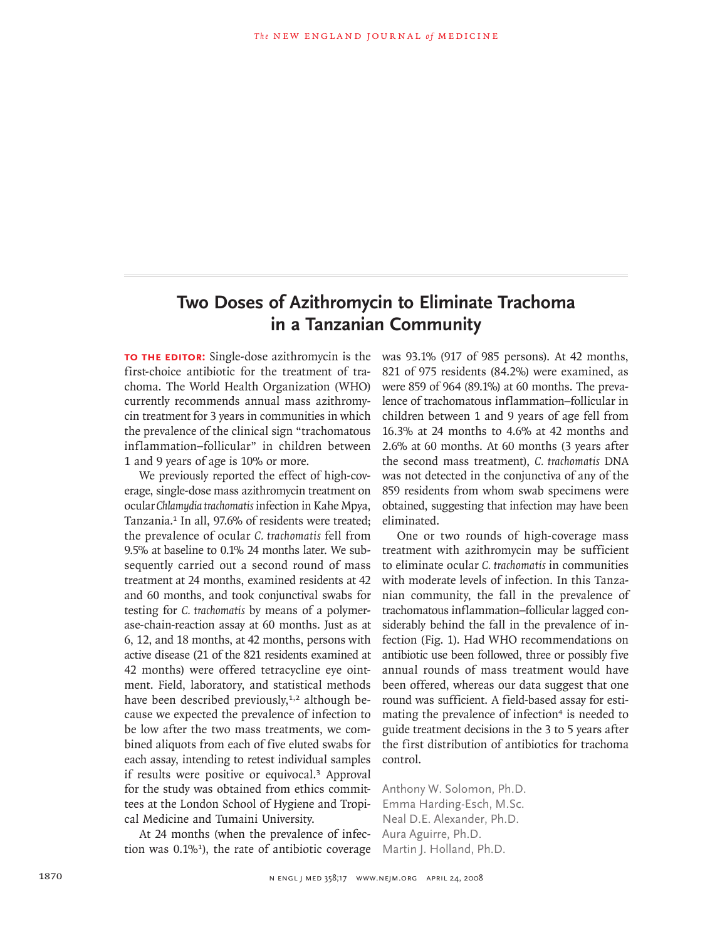## **Two Doses of Azithromycin to Eliminate Trachoma in a Tanzanian Community**

**TO THE EDITOR:** Single-dose azithromycin is the first-choice antibiotic for the treatment of trachoma. The World Health Organization (WHO) currently recommends annual mass azithromycin treatment for 3 years in communities in which the prevalence of the clinical sign "trachomatous inflammation–follicular" in children between 1 and 9 years of age is 10% or more.

We previously reported the effect of high-coverage, single-dose mass azithromycin treatment on ocular *Chlamydia trachomatis* infection in Kahe Mpya, Tanzania.<sup>1</sup> In all, 97.6% of residents were treated; the prevalence of ocular *C. trachomatis* fell from 9.5% at baseline to 0.1% 24 months later. We subsequently carried out a second round of mass treatment at 24 months, examined residents at 42 and 60 months, and took conjunctival swabs for testing for *C. trachomatis* by means of a polymerase-chain-reaction assay at 60 months. Just as at 6, 12, and 18 months, at 42 months, persons with active disease (21 of the 821 residents examined at 42 months) were offered tetracycline eye ointment. Field, laboratory, and statistical methods have been described previously, $1,2$  although because we expected the prevalence of infection to be low after the two mass treatments, we combined aliquots from each of five eluted swabs for each assay, intending to retest individual samples if results were positive or equivocal.3 Approval for the study was obtained from ethics committees at the London School of Hygiene and Tropical Medicine and Tumaini University.

At 24 months (when the prevalence of infection was  $0.1\%$ <sup>1</sup>), the rate of antibiotic coverage

was 93.1% (917 of 985 persons). At 42 months, 821 of 975 residents (84.2%) were examined, as were 859 of 964 (89.1%) at 60 months. The prevalence of trachomatous inflammation–follicular in children between 1 and 9 years of age fell from 16.3% at 24 months to 4.6% at 42 months and 2.6% at 60 months. At 60 months (3 years after the second mass treatment), *C. trachomatis* DNA was not detected in the conjunctiva of any of the 859 residents from whom swab specimens were obtained, suggesting that infection may have been eliminated.

One or two rounds of high-coverage mass treatment with azithromycin may be sufficient to eliminate ocular *C. trachomatis* in communities with moderate levels of infection. In this Tanzanian community, the fall in the prevalence of trachomatous inflammation–follicular lagged considerably behind the fall in the prevalence of infection (Fig. 1). Had WHO recommendations on antibiotic use been followed, three or possibly five annual rounds of mass treatment would have been offered, whereas our data suggest that one round was sufficient. A field-based assay for estimating the prevalence of infection<sup>4</sup> is needed to guide treatment decisions in the 3 to 5 years after the first distribution of antibiotics for trachoma control.

Anthony W. Solomon, Ph.D. Emma Harding-Esch, M.Sc. Neal D.E. Alexander, Ph.D. Aura Aguirre, Ph.D. Martin J. Holland, Ph.D.